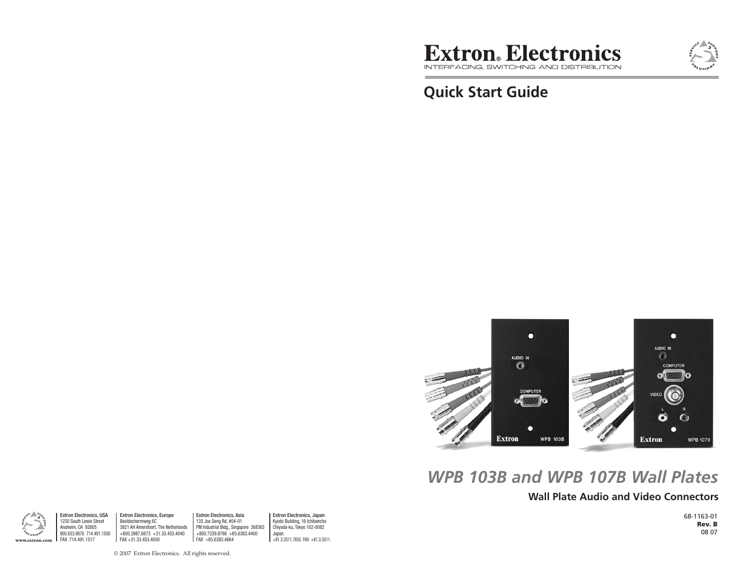

**Quick Start Guide**



# *WPB 103B and WPB 107B Wall Plates*

## **Wall Plate Audio and Video Connectors**

68-1163-01 Rev. B 08 07



Extron Electronics, USA 1230 South Lewis Street Anaheim, CA 92805 800.633.9876 714.491.1500 FAX 714.491.1517

Extron Electronics, Europe Beeldschermweg 6C 3821 AH Amersfoort, The Netherlands +800.3987.6673 +31.33.453.4040 FAX +31.33.453.4050 **www.extron.com** FAX 714.491.1517 FAX +81.3.3511.7655 FAX +81.3.3511.7655 FAX +81.3.3511.7655 FAX +81.3.3511.7655 FAX +81.3.3511.7655 FAX +81.3.3511.7655 FAX +81.3.3511.7655 FAX +81.3.3511.7655 FAX +81.3.3511.7655 FAX +81.

Extron Electronics, Asia 135 Joo Seng Rd. #04-01 PM Industrial Bldg., Singapore 368363 +800.7339.8766 +65.6383.4400 FAX +65.6383.4664

Extron Electronics, Japan Kyodo Building, 16 Ichibancho Chiyoda-ku, Tokyo 102-0082 Japan

© 2007 Extron Electronics. All rights reserved.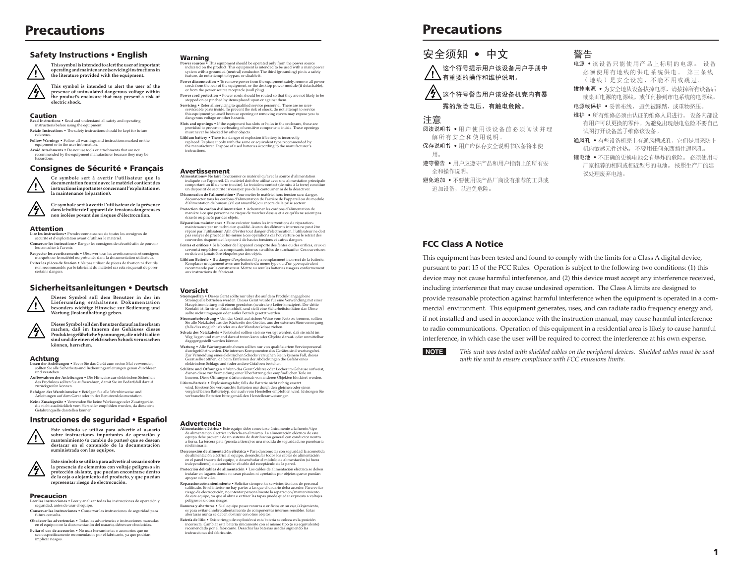# **Precautions**

#### Safety Instructions • English



**operating and maintenance (servicing) instructions in the literature provided with the equipment. This symbol is intended to alert the user of the** 

**This symbol is intended to alert the user of important** 

**presence of uninsulated dangerous voltage within the product's enclosure that may present a risk of electric shock.** 

#### Caution

**Read Instructions •** Read and understand all safety and operating

- instructions before using the equipment. **Retain Instructions** The safety instructions should be kept for future
- reference. **Follow Warnings** Follow all warnings and instructions marked on the equipment or in the user information.
- **Avoid Attachments** Do not use tools or attachments that are not recommended by the equipment manufacturer because they may be
- hazardous.

#### Consignes de Sécurité • Français



**documentation fournie avec le matériel contient des instructions importantes concernant l'exploitation et la maintenance (réparation).**

**Ce symbole sert à avertir l'utilisateur que la** 

**Ce symbole sert à avertir l'utilisateur de la présence dans le boîtier de l'appareil de tensions dangereuses non isolées posant des risques d'électrocution.**

#### Attention

**Lire les instructions•** Prendre connaissance de toutes les consignes de sécurité et d'exploitation avant d'utiliser le matériel.

**Conserver les instructions•** Ranger les consignes de sécurité afin de pouvoir les consulter à l'avenir. **Respecter les avertissements •** Observer tous les avertissements et consignes

marqués sur le matériel ou présentés dans la documentation utilisateur.

**Eviter les pièces de fixation •** Ne pas utiliser de pièces de fixation ni d'outils non recommentation de la recommentation de la risquerait de poser<br>mandés par le fabricant du matériel car cela risquerait de poser certains dangers.

#### Sicherheitsanleitungen • Deutsch **Dieses Symbol soll dem Benutzer in der im**



**Lieferumfang enthaltenen Dokumentation besonders wichtige Hinweise zur Bedienung und Wartung (Instandhaltung) geben. Dieses Symbol soll den Benutzer darauf aufmerksam** 

**machen, daß im Inneren des Gehäuses dieses**   $\sqrt{2}$ **Produktes gefährliche Spannungen, die nicht isoliert sind und die einen elektrischen Schock verursachen können, herrschen.**

### Achtung

- **ngen Bevor Sie das Gerät zum ersten Mal verwenden** seit der Ameridingen • bevor die das derar zum ersten war verwenden, sollten Sie alle Sicherheits-und Bedienungsanleitungen genau durchlesen und verstehen.
- **Aufbewahren der Anleitungen**  Die Hinweise zur elektrischen Sicherheit des Produktes sollten Sie aufbewahren, damit Sie im Bedarfsfall darauf zurückgreifen können.
- **Befolgen der Warnhinweise**  Befolgen Sie alle Warnhinweise und
- Anleitungen auf dem Gerät oder in der Benutzerdokumentation. **Keine Zusatzgeräte** • Verwenden Sie keine Werkzeuge oder Zusatzgeräte, erate • verwenden die keine werkzeuge oder Zusatzgerate,<br>sdrücklich vom Hersteller empfohlen wurden, da diese eine Gefahrenquelle darstellen können.

#### Instrucciones de seguridad • Español

**Este símbolo se utiliza para advertir al usuario sobre instrucciones importantes de operación y mantenimiento (o cambio de partes) que se desean destacar en el contenido de la documentación** 





**representar riesgo de electrocución.**  Precaucion

**Example 1** Leer y analizar todas las instrucciones de operación y Leer las instrucciones • Leer y analiza seguridad, antes de usar el equipo.

- **Conservar las instrucciones** Conservar las instrucciones de seguridad para futura consulta. **Obedecer las advertencias •** Todas las advertencias e instrucciones marcadas en el equipo o en la documentación del usuario, deben ser obedecidas.
- **Evitar el uso de accesorios** No usar herramientas o accesorios que no sean especificamente recomendados por el fabricante, ya que podrian implicar riesgos.

### Warning

- **Power sources**  $\overline{\bullet}$  This equipment should be operated only from the power source indicated on the product. This equipment is intended to be used with a main power system with a grounded (neutral) conductor. The third
- **Power disconnection •** To remove power from the equipment safely, remove all power cords from the rear of the equipment, or the desktop power module (if detachable), or from the power source receptacle (wall plug).
- **Power cord protection** Power cords should be routed so that they are not likely to be stepped on or pinched by items placed upon or against them. **Servicing •** Refer all servicing to qualified service personnel. There are no user-
- serviceable parts inside. To prevent the risk of shock, do not attempt to service this equipment yourself because opening or removing covers may expose you to dangerous voltage or other hazards.
- **Slots and openings •** If the equipment has slots or holes in the enclosure, these are provided to prevent overheating of sensitive components inside. These openings must never be blocked by other objects.
- **Lithium battery •** There is a danger of explosion if battery is incorrectly<br>replaced. Replace it only with the same or equivalent type recommended by<br>the manufacturer. Dispose of used batteries according to the manufactur instructions.

#### Avertissement

- **Alimentations•** Ne faire fonctionner ce matériel qu'avec la source d'alimentation indiquée sur l'appareil. Ce matériel doit être utilisé avec une alimentation principale<br>comportant un fil de terre (neutre). Le troisième contact (de mise à la terre) constitue<br>un dispositif de sécurité : n'essayez pas de
- **Déconnexion de l'alimentation** Pour mettre le matériel hors tension sans danger,<br>déconnectez tous les cordons d'alimentation de l'arrière de l'appareil ou du module<br>d'alimentation de bureau (s'il est amovible) ou encore
- **Protection du cordon d'alimentation** Acheminer les cordons d'alimentation de manière à ce que personne ne risque de marcher dessus et à ce qu'ils ne soient pas<br>écrasés ou pincés par des objets.<br>**Réparation-maintenance •** Faire exécuter toutes les interventions de réparation-
- maintenance par un technicien qualifié. Aucun des éléments internes ne peut être réparé par l'utilisateur. Afin d'éviter tout danger d'électrocution, l'utilisateur ne doit<br>pas essayer de procéder lui-même à ces opérations car l'ouverture ou le retrait des<br>couvercles risquent de l'exposer à de hautes te
- Fentes et orifices Si le boîtier de l'appareil comporte des fentes ou des orifices, ceux-ci servent à empêcher les composants internes sensibles de surchauffer. Ces ouverture ne doivent jamais être bloquées par des objets.
- **Lithium Batterie** Il a danger d'explosion s'll y a remplacment incorrect de la batterie. Remplacer uniquement avec une batterie du meme type ou d'un ype equivalent recommande par le constructeur. Mettre au reut les batteries usagees conformement aux instructions du fabricant.

#### Vorsicht

- $\begin{small} \textbf{Stromquellen} & \textbf{Dieses Cerät solllen} & \textbf{Dieses (i)~} \\ \textbf{Stromquellen} & \textbf{Dieses Cerät} & \textbf{Nverla} & \textbf{Cerät} & \textbf{val} & \textbf{cem} \\ \textbf{Stromquellen} & \textbf{Dieses Cerät} & \textbf{wurde für eine Verweindung mit einer Haupistromleitung mit einem geerdelen (neurtalen) Leiter konziepert. Der dritte Konduchits für einen Erdanschluß, und sellten eine Schrienistfunktion dar. Diese solltenicht umgangen oder außer Betrieb gesetzt werden. \end{small}$
- **Stromunterbrechung**  Um das Gerät auf sichere Weise vom Netz zu trennen, sollten Sie alle Netzkabel aus der Rückseite des Gerätes, aus der externen Stomversorgung (falls dies möglich ist) oder aus der Wandsteckdose ziehen.
- **Schutz des Netzkabels**  Netzkabel sollten stets so verlegt werden, daß sie nicht im Weg liegen und niemand darauf treten kann oder Objekte darauf- oder unmittelbar dagegengestellt werden können.
- **Wartung**  Alle Wartungsmaßnahmen sollten nur von qualifiziertem Servicepersonal durchgeführt werden. Die internen Komponenten des Gerätes sind wartungsfrei. Zur Vermeidung eines elektrischen Schocks versuchen Sie in keinem Fall, dieses Gerät selbst öffnen, da beim Entfernen der Abdeckungen die Gefahr eines elektrischen Schlags und/oder andere Gefahren bestehen.
- **Schlitze und Offnungen •** Wenn das Gerät Schlitze oder Löcher im Gehäuse aufweist,<br>dienen diese zur Vermeidung einer Überhitzung der empfindlichen Teile im<br>Inneren. Diese Öffnungen dürfen niemals von anderen Objekten bloc
- **Litium-Batterie**  Explosionsgefahr, falls die Batterie nicht richtig ersetzt wird. Ersetzen Sie verbrauchte Batterien nur durch den gleichen oder einen vergleichbaren Batterietyp, der auch vom Hersteller empfohlen wird. Entsorgen Sie verbrauchte Batterien bitte gemäß den Herstelleranweisungen.

#### Advertencia

- **Alimentación eléctrica** Este equipo debe conectarse únicamente a la fuente/tipo de alimentación eléctrica indicada en el mismo. La alimentación eléctrica de este equipo debe provenir de un sistema de distribución general con conductor neutro a tierra. La tercera pata (puesta a tierra) es una medida de seguridad, no puentearia ni eliminaria.<br>Desconexión de alimentación eléctrica e Para desconectar con seguridad la acometida
- **Desconexión de alimentación eléctrica •** Para desconectar con seguridad la acometida de alimentación eléctrica al equipo, desenchular todos los cables de alimentación en el panel trasero del equipo, o desenchufar el módul
- **Protección del cables de alimentación** Los cables de alimentación eléctrica se deben instalar en lugares donde no sean pisados ni apretados por objetos que se puedan apoyar sobre ellos.
- **Reparaciones/mantenimiento** Solicitar siempre los servicios técnicos de personal calificado. En el interior no hay partes a las que el usuario deba acceder. Para evitar riesgo de electrocución, no intentar personalmente la reparación/mantenimiento de este equipo, ya que al abrir o extraer las tapas puede quedar expuesto a voltajes peligrosos u otros riesgos.
- **Ranuras y aberturas** Si el equipo posee ranuras o orificios en su caja/alojamiento, es para evitar el sobrecalientamiento de componentes internos sensibles. Estas aberturas nunca se deben obstruir con otros objetos.
- **Batería de litio** Existe riesgo de explosión si esta batería se coloca en la posición incorrecta. Cambiar esta batería únicamente con el mismo tipo (o su equivalente) recomendado por el fabricante. Desachar las baterías usadas siguiendo las instrucciones del fabricante.

# **Precautions**



### $\big/$ 公 $\bigwedge$  这个符号警告用户该设备机壳内有暴 露的危险电压,有触电危险。

#### 注意

阅读说明书 • 用户使用该设备前必须阅读并理 解所有安全和使用说明。

- 保存说明书 用户应保存安全说明书以备将来使 用。 遵守警告 • 用户应遵守产品和用户指南上的所有安
- 全和操作说明。 避免追加 • 不要使用该产品厂商没有推荐的工具或 追加设备,以避免危险。

### 警告

- 电源 该设备只能使用产品上标明的电源。 设备 必须使用有地线的供电系统供电。 第三条线 (地线) 是安全设施, 不能不用或跳过。
- 拔掉电源 为安全地从设备拔掉电源,请拔掉所有设备后 或桌面电源的电源线,或任何接到市电系统的电源线。
- 电源线保护 妥善布线, 避免被踩踏, 或重物挤压。
- 维护 所有维修必须由认证的维修人员进行。 设备内部没 有用户可以更换的零件。为避免出现触电危险不要自己 试图打开设备盖子维修该设备。
- 通风孔 有些设备机壳上有通风槽或孔,它们是用来防止 机内敏感元件过热。 不要用任何东西挡住通风孔。

锂电池 • 不正确的更换电池会有爆炸的危险。 必须使用与 厂家推荐的相同或相近型号的电池。 按照生产厂的建 议处理废弃电池。

### FCC Class A Notice

This equipment has been tested and found to comply with the limits for a Class A digital device, pursuant to part 15 of the FCC Rules. Operation is subject to the following two conditions: (1) this device may not cause harmful interference, and (2) this device must accept any interference received, including interference that may cause undesired operation. The Class A limits are designed to provide reasonable protection against harmful interference when the equipment is operated in a commercial environment. This equipment generates, uses, and can radiate radio frequency energy and, if not installed and used in accordance with the instruction manual, may cause harmful interference to radio communications. Operation of this equipment in a residential area is likely to cause harmful interference, in which case the user will be required to correct the interference at his own expense.



N *This unit was tested with shielded cables on the peripheral devices. Shielded cables must be used with the unit to ensure compliance with FCC emissions limits.*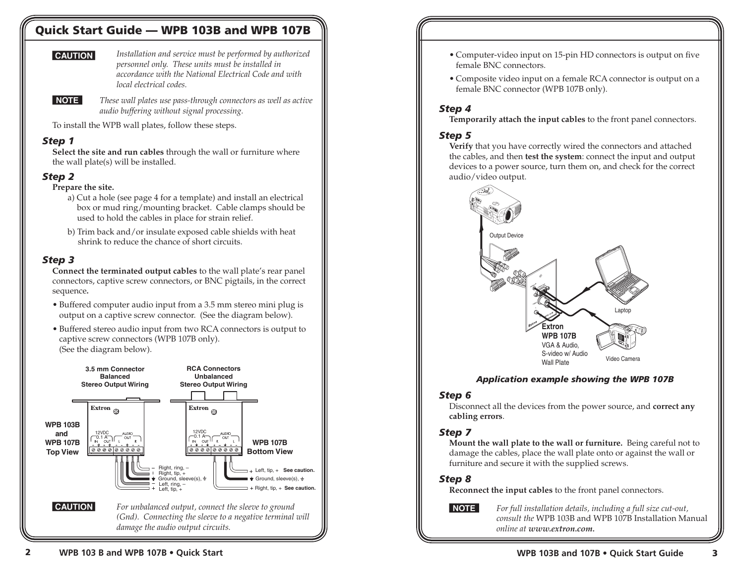# Quick Start Guide — WPB 103B and WPB 107B

**CAUTION** Installation and service must be performed by authorized *personnel only. These units must be installed in accordance with the National Electrical Code and with local electrical codes.*



N *These wall plates use pass-through connectors as well as active audio buffering without signal processing.*

To install the WPB wall plates, follow these steps.

### *Step 1*

**Select the site and run cables** through the wall or furniture where the wall plate(s) will be installed.

### *Step 2*

### **Prepare the site.**

- a) Cut a hole (see page 4 for a template) and install an electrical box or mud ring/mounting bracket. Cable clamps should be used to hold the cables in place for strain relief.
- b) Trim back and/or insulate exposed cable shields with heat shrink to reduce the chance of short circuits.

### *Step 3*

**Connect the terminated output cables** to the wall plate's rear panel connectors, captive screw connectors, or BNC pigtails, in the correct sequence**.**

- Buffered computer audio input from a 3.5 mm stereo mini plug is output on a captive screw connector. (See the diagram below).
- Buffered stereo audio input from two RCA connectors is output to captive screw connectors (WPB 107B only). (See the diagram below).



- Computer-video input on 15-pin HD connectors is output on five female BNC connectors.
- Composite video input on a female RCA connector is output on a female BNC connector (WPB 107B only).

### *Step 4*

**Temporarily attach the input cables** to the front panel connectors.

### *Step 5*

**Verify** that you have correctly wired the connectors and attached the cables, and then **test the system**: connect the input and output devices to a power source, turn them on, and check for the correct audio/video output.



### *Application example showing the WPB 107B*

### *Step 6*

Disconnect all the devices from the power source, and **correct any cabling errors**.

### *Step 7*

**Mount the wall plate to the wall or furniture.** Being careful not to damage the cables, place the wall plate onto or against the wall or furniture and secure it with the supplied screws.

### *Step 8*

**Reconnect the input cables** to the front panel connectors.

N *For full installation details, including a full size cut-out, consult the* WPB 103B and WPB 107B Installation Manual *online at www.extron.com.*